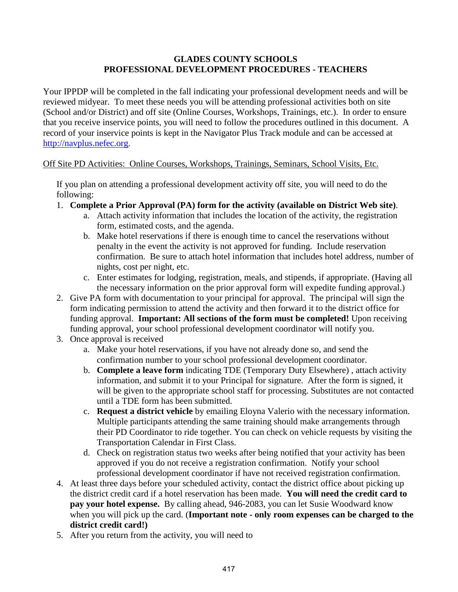## **GLADES COUNTY SCHOOLS PROFESSIONAL DEVELOPMENT PROCEDURES - TEACHERS**

Your IPPDP will be completed in the fall indicating your professional development needs and will be reviewed midyear. To meet these needs you will be attending professional activities both on site (School and/or District) and off site (Online Courses, Workshops, Trainings, etc.). In order to ensure that you receive inservice points, you will need to follow the procedures outlined in this document. A record of your inservice points is kept in the Navigator Plus Track module and can be accessed at [http://navplus.nefec.org.](http://navplus.nefec.org/)

## Off Site PD Activities: Online Courses, Workshops, Trainings, Seminars, School Visits, Etc.

If you plan on attending a professional development activity off site, you will need to do the following:

- 1. **Complete a Prior Approval (PA) form for the activity (available on District Web site)**.
	- a. Attach activity information that includes the location of the activity, the registration form, estimated costs, and the agenda.
	- b. Make hotel reservations if there is enough time to cancel the reservations without penalty in the event the activity is not approved for funding. Include reservation confirmation. Be sure to attach hotel information that includes hotel address, number of nights, cost per night, etc.
	- c. Enter estimates for lodging, registration, meals, and stipends, if appropriate. (Having all the necessary information on the prior approval form will expedite funding approval.)
- 2. Give PA form with documentation to your principal for approval. The principal will sign the form indicating permission to attend the activity and then forward it to the district office for funding approval. **Important: All sections of the form must be completed!** Upon receiving funding approval, your school professional development coordinator will notify you.
- 3. Once approval is received
	- a. Make your hotel reservations, if you have not already done so, and send the confirmation number to your school professional development coordinator.
	- b. **Complete a leave form** indicating TDE (Temporary Duty Elsewhere) , attach activity information, and submit it to your Principal for signature. After the form is signed, it will be given to the appropriate school staff for processing. Substitutes are not contacted until a TDE form has been submitted.
	- c. **Request a district vehicle** by emailing Eloyna Valerio with the necessary information. Multiple participants attending the same training should make arrangements through their PD Coordinator to ride together. You can check on vehicle requests by visiting the Transportation Calendar in First Class.
	- d. Check on registration status two weeks after being notified that your activity has been approved if you do not receive a registration confirmation. Notify your school professional development coordinator if have not received registration confirmation.
- 4. At least three days before your scheduled activity, contact the district office about picking up the district credit card if a hotel reservation has been made. **You will need the credit card to pay your hotel expense.** By calling ahead, 946-2083, you can let Susie Woodward know when you will pick up the card. (**Important note - only room expenses can be charged to the district credit card!)**
- 5. After you return from the activity, you will need to